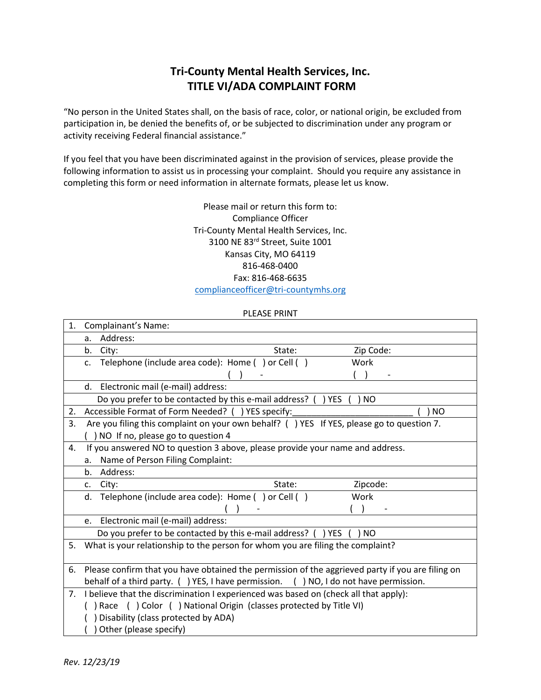## **Tri-County Mental Health Services, Inc. TITLE VI/ADA COMPLAINT FORM**

"No person in the United States shall, on the basis of race, color, or national origin, be excluded from participation in, be denied the benefits of, or be subjected to discrimination under any program or activity receiving Federal financial assistance."

If you feel that you have been discriminated against in the provision of services, please provide the following information to assist us in processing your complaint. Should you require any assistance in completing this form or need information in alternate formats, please let us know.

> Please mail or return this form to: Compliance Officer Tri-County Mental Health Services, Inc. 3100 NE 83rd Street, Suite 1001 Kansas City, MO 64119 816-468-0400 Fax: 816-468-6635 [complianceofficer@tri-countymhs.org](mailto:complianceofficer@tri-countymhs.org)

## PLEASE PRINT

| 1. | Complainant's Name:                                                                              |        |                                  |
|----|--------------------------------------------------------------------------------------------------|--------|----------------------------------|
|    | Address:<br>a.                                                                                   |        |                                  |
|    | b.<br>City:                                                                                      | State: | Zip Code:                        |
|    | Telephone (include area code): Home () or Cell ()<br>$C_{\star}$                                 |        | Work                             |
|    |                                                                                                  |        |                                  |
|    | Electronic mail (e-mail) address:<br>d.                                                          |        |                                  |
|    | Do you prefer to be contacted by this e-mail address? (                                          |        | ) YES<br>) NO                    |
| 2. | Accessible Format of Form Needed? ( ) YES specify:                                               |        | NO                               |
| 3. | Are you filing this complaint on your own behalf? () YES If YES, please go to question 7.        |        |                                  |
|    | ) NO If no, please go to question 4                                                              |        |                                  |
| 4. | If you answered NO to question 3 above, please provide your name and address.                    |        |                                  |
|    | Name of Person Filing Complaint:<br>a.                                                           |        |                                  |
|    | Address:<br>b.                                                                                   |        |                                  |
|    | City:<br>c.                                                                                      | State: | Zipcode:                         |
|    | Telephone (include area code): Home () or Cell ()<br>d.                                          |        | Work                             |
|    |                                                                                                  |        |                                  |
|    |                                                                                                  |        |                                  |
|    | Electronic mail (e-mail) address:<br>e.                                                          |        |                                  |
|    | Do you prefer to be contacted by this e-mail address? (                                          |        | ) YES<br>NO.                     |
| 5. | What is your relationship to the person for whom you are filing the complaint?                   |        |                                  |
|    |                                                                                                  |        |                                  |
| 6. | Please confirm that you have obtained the permission of the aggrieved party if you are filing on |        |                                  |
|    | behalf of a third party. () YES, I have permission.                                              |        | () NO, I do not have permission. |
| 7. | I believe that the discrimination I experienced was based on (check all that apply):             |        |                                  |
|    | ) Race ( ) Color ( ) National Origin (classes protected by Title VI)                             |        |                                  |
|    | Disability (class protected by ADA)<br>Other (please specify)                                    |        |                                  |